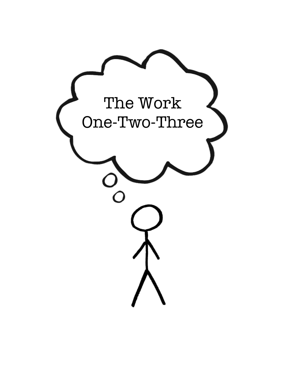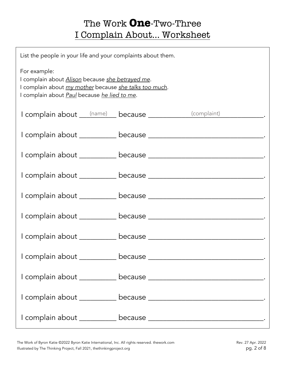## The Work **One**-Two-Three I Complain About… Worksheet

| List the people in your life and your complaints about them.                                                                                                                      |  |  |  |  |
|-----------------------------------------------------------------------------------------------------------------------------------------------------------------------------------|--|--|--|--|
| For example:<br>I complain about Alison because she betrayed me.<br>I complain about my mother because she talks too much.<br>I complain about <b>Paul</b> because he lied to me. |  |  |  |  |
| I complain about (name) because __________(complaint) ______________.                                                                                                             |  |  |  |  |
|                                                                                                                                                                                   |  |  |  |  |
|                                                                                                                                                                                   |  |  |  |  |
|                                                                                                                                                                                   |  |  |  |  |
|                                                                                                                                                                                   |  |  |  |  |
|                                                                                                                                                                                   |  |  |  |  |
|                                                                                                                                                                                   |  |  |  |  |
|                                                                                                                                                                                   |  |  |  |  |
|                                                                                                                                                                                   |  |  |  |  |
|                                                                                                                                                                                   |  |  |  |  |
|                                                                                                                                                                                   |  |  |  |  |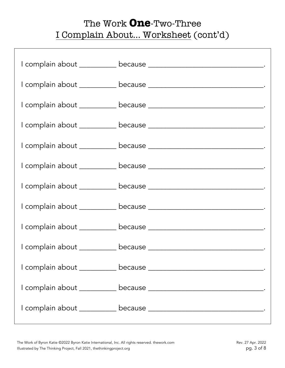## The Work **One**-Two-Three I Complain About… Worksheet (cont'd)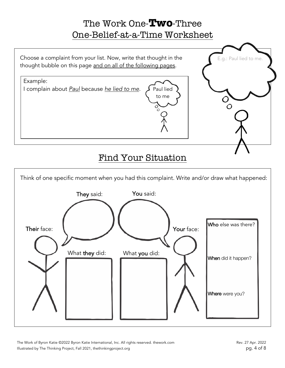## The Work One-**Two**-Three One-Belief-at-a-Time Worksheet



#### Find Your Situation



The Work of Byron Katie ©2022 Byron Katie International, Inc. All rights reserved. thework.com Rev. 27 Apr. 2022 Illustrated by The Thinking Project, Fall 2021, thethinkingproject.org pg. 4 of 8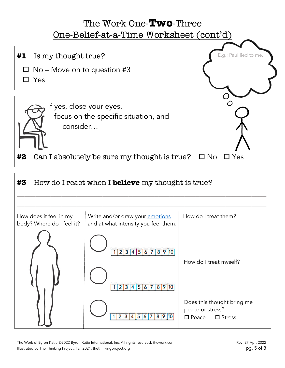## The Work One-**Two**-Three One-Belief-at-a-Time Worksheet (cont'd)



The Work of Byron Katie ©2022 Byron Katie International, Inc. All rights reserved. thework.com Rev. 27 Apr. 2022 Rev. 27 Apr. 2022 Illustrated by The Thinking Project, Fall 2021, thethinkingproject.org pg. 5 of 8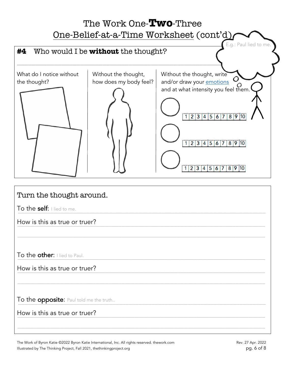

# Turn the thought around. To the self: I lied to me. How is this as true or truer? \_\_\_\_\_\_\_\_\_\_\_\_\_\_\_\_\_\_\_\_\_\_\_\_\_\_\_\_\_\_\_\_\_\_\_\_\_\_\_\_\_\_\_\_\_\_\_\_\_\_\_\_\_\_\_\_\_\_\_\_\_\_\_\_\_\_\_\_\_\_\_\_\_\_\_\_  ${\sf To}$  the other: I lied to Paul.  ${\sf I}$ How is this as true or truer?  $\overline{\phantom{a}}$ To the opposite: Paul told me the truth.. \_\_\_\_\_\_\_\_\_\_\_\_\_\_\_\_\_\_\_\_\_\_\_\_\_\_\_\_\_\_\_\_\_\_\_\_\_\_\_\_\_\_\_\_\_\_\_\_\_\_\_\_\_\_\_\_\_\_\_\_\_\_\_\_\_\_\_\_\_\_\_\_\_\_\_\_How is this as true or truer? \_\_\_\_\_\_\_\_\_\_\_\_\_\_\_\_\_\_\_\_\_\_\_\_\_\_\_\_\_\_\_\_\_\_\_\_\_\_\_\_\_\_\_\_\_\_\_\_\_\_\_\_\_\_\_\_\_\_\_\_\_\_\_\_\_\_\_\_\_\_\_\_\_\_\_\_ \_\_\_\_\_\_\_\_\_\_\_\_\_\_\_\_\_\_\_\_\_\_\_\_\_\_\_\_\_\_\_\_\_\_\_\_\_\_\_\_\_\_\_\_\_\_\_\_\_\_\_\_\_\_\_\_\_\_\_\_\_\_\_\_\_\_\_\_\_\_\_\_\_\_\_\_ \_\_\_\_\_\_\_\_\_\_\_\_\_\_\_\_\_\_\_\_\_\_\_\_\_\_\_\_\_\_\_\_\_\_\_\_\_\_\_\_\_\_\_\_\_\_\_\_\_\_\_\_\_\_\_\_\_\_\_\_\_\_\_\_\_\_\_\_\_\_\_\_\_\_\_\_ \_\_\_\_\_\_\_\_\_\_\_\_\_\_\_\_\_\_\_\_\_\_\_\_\_\_\_\_\_\_\_\_\_\_\_\_\_\_\_\_\_\_\_\_\_\_\_\_\_\_\_\_\_\_\_\_\_\_\_\_\_\_\_\_\_\_\_\_\_\_\_\_\_\_\_\_ \_\_\_\_\_\_\_\_\_\_\_\_\_\_\_\_\_\_\_\_\_\_\_\_\_\_\_\_\_\_\_\_\_\_\_\_\_\_\_\_\_\_\_\_\_\_\_\_\_\_\_\_\_\_\_\_\_\_\_\_\_\_\_\_\_\_\_\_\_\_\_\_\_\_\_\_

The Work of Byron Katie ©2022 Byron Katie International, Inc. All rights reserved. thework.com Rev. 27 Apr. 2022 Rev. 27 Apr. 2022 Illustrated by The Thinking Project, Fall 2021, thethinkingproject.org pg. 6 of 8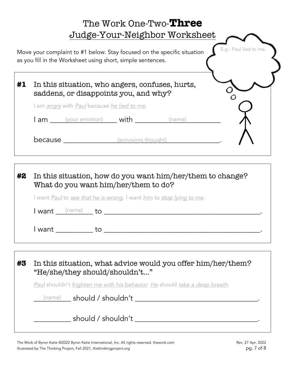|    | The Work One-Two-Three<br>Judge-Your-Neighbor Worksheet                                                                                                          |  |
|----|------------------------------------------------------------------------------------------------------------------------------------------------------------------|--|
|    | E.g.: Paul lied to me.<br>Move your complaint to #1 below. Stay focused on the specific situation<br>as you fill in the Worksheet using short, simple sentences. |  |
| #1 | In this situation, who angers, confuses, hurts,<br>saddens, or disappoints you, and why?                                                                         |  |
|    | I am <i>angry</i> with <i>Paul</i> because <i>he lied to me.</i>                                                                                                 |  |
|    | <b>I am</b> (your emotion) <b>with</b><br>(name)                                                                                                                 |  |
|    | <b>because</b> (annoying thought)                                                                                                                                |  |
| #2 | In this situation, how do you want him/her/them to change?<br>What do you want him/her/them to do?                                                               |  |

I want *Paul* to *see that he is wrong*. I want *him* to *stop lying to me.*

I want \_\_\_\_\_\_\_\_\_\_ to \_\_\_\_\_\_\_\_\_\_\_\_\_\_\_\_\_\_\_\_\_\_\_\_\_\_\_\_\_\_\_\_\_\_\_\_\_\_\_\_\_\_. (name)

I want \_\_\_\_\_\_\_\_\_\_ to \_\_\_\_\_\_\_\_\_\_\_\_\_\_\_\_\_\_\_\_\_\_\_\_\_\_\_\_\_\_\_\_\_\_\_\_\_\_\_\_\_\_.

| #3 | In this situation, what advice would you offer him/her/them?<br>"He/she/they should/shouldn't" |  |
|----|------------------------------------------------------------------------------------------------|--|
|    | Paul shouldn't frighten me with his behavior. He should take a deep breath.                    |  |
|    | (name) should / shouldn't                                                                      |  |
|    | should / shouldn't                                                                             |  |

The Work of Byron Katie ©2022 Byron Katie International, Inc. All rights reserved. thework.com Rev. 27 Apr. 2022 Illustrated by The Thinking Project, Fall 2021, thethinkingproject.org pg. 7 of 8